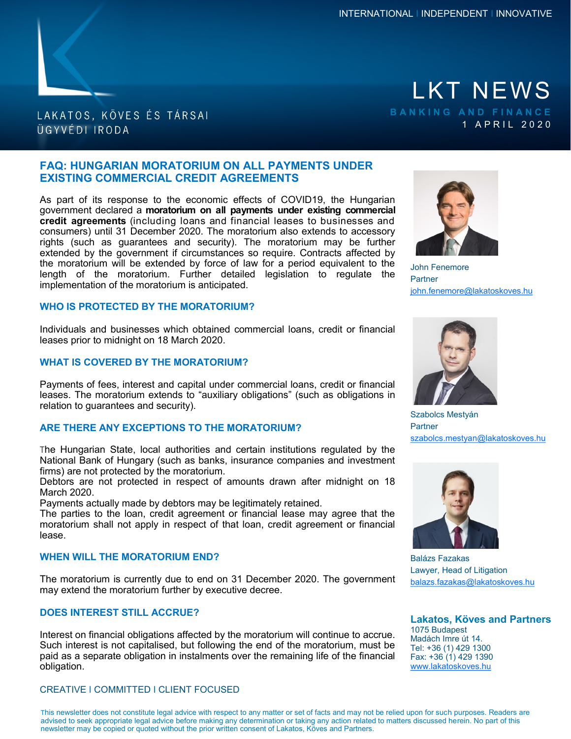

# LAKATOS, KÖVES ÉS TÁRSAI ÜGYVÉDI IRODA

# **FAQ: HUNGARIAN MORATORIUM ON ALL PAYMENTS UNDER EXISTING COMMERCIAL CREDIT AGREEMENTS**

As part of its response to the economic effects of COVID19, the Hungarian government declared a **moratorium on all payments under existing commercial credit agreements** (including loans and financial leases to businesses and consumers) until 31 December 2020. The moratorium also extends to accessory rights (such as guarantees and security). The moratorium may be further extended by the government if circumstances so require. Contracts affected by the moratorium will be extended by force of law for a period equivalent to the length of the moratorium. Further detailed legislation to regulate the implementation of the moratorium is anticipated.

### **WHO IS PROTECTED BY THE MORATORIUM?**

Individuals and businesses which obtained commercial loans, credit or financial leases prior to midnight on 18 March 2020.

### **WHAT IS COVERED BY THE MORATORIUM?**

Payments of fees, interest and capital under commercial loans, credit or financial leases. The moratorium extends to "auxiliary obligations" (such as obligations in relation to guarantees and security).

## **ARE THERE ANY EXCEPTIONS TO THE MORATORIUM?**

The Hungarian State, local authorities and certain institutions regulated by the National Bank of Hungary (such as banks, insurance companies and investment firms) are not protected by the moratorium.

Debtors are not protected in respect of amounts drawn after midnight on 18 March 2020.

Payments actually made by debtors may be legitimately retained.

The parties to the loan, credit agreement or financial lease may agree that the moratorium shall not apply in respect of that loan, credit agreement or financial lease.

#### **WHEN WILL THE MORATORIUM END?**

The moratorium is currently due to end on 31 December 2020. The government may extend the moratorium further by executive decree.

## **DOES INTEREST STILL ACCRUE?**

Interest on financial obligations affected by the moratorium will continue to accrue. Such interest is not capitalised, but following the end of the moratorium, must be paid as a separate obligation in instalments over the remaining life of the financial obligation.

#### CREATIVE I COMMITTED I CLIENT FOCUSED

LKT NEWS 1 A P R I L 2 0 2 0



John Fenemore **Partner** john.fenemore@lakatoskoves.hu



Szabolcs Mestyán **Partner** szabolcs.mestyan@lakatoskoves.hu



Balázs Fazakas Lawyer, Head of Litigation balazs.fazakas@lakatoskoves.hu

**Lakatos, Köves and Partners** 1075 Budapest Madách Imre út 14. Tel: +36 (1) 429 1300 Fax: +36 (1) 429 1390 [www.lakatoskoves.hu](http://www.lakatoskoves.hu/en)

This newsletter does not constitute legal advice with respect to any matter or set of facts and may not be relied upon for such purposes. Readers are advised to seek appropriate legal advice before making any determination or taking any action related to matters discussed herein. No part of this newsletter may be copied or quoted without the prior written consent of Lakatos, Köves and Partners.